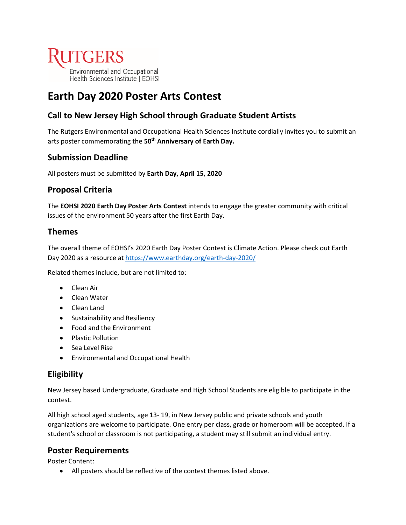

# **Earth Day 2020 Poster Arts Contest**

# **Call to New Jersey High School through Graduate Student Artists**

The Rutgers Environmental and Occupational Health Sciences Institute cordially invites you to submit an arts poster commemorating the **50th Anniversary of Earth Day.**

# **Submission Deadline**

All posters must be submitted by **Earth Day, April 15, 2020**

# **Proposal Criteria**

The **EOHSI 2020 Earth Day Poster Arts Contest** intends to engage the greater community with critical issues of the environment 50 years after the first Earth Day.

# **Themes**

The overall theme of EOHSI's 2020 Earth Day Poster Contest is Climate Action. Please check out Earth Day 2020 as a resource at<https://www.earthday.org/earth-day-2020/>

Related themes include, but are not limited to:

- Clean Air
- Clean Water
- Clean Land
- Sustainability and Resiliency
- Food and the Environment
- Plastic Pollution
- Sea Level Rise
- Environmental and Occupational Health

# **Eligibility**

New Jersey based Undergraduate, Graduate and High School Students are eligible to participate in the contest.

All high school aged students, age 13- 19, in New Jersey public and private schools and youth organizations are welcome to participate. One entry per class, grade or homeroom will be accepted. If a student's school or classroom is not participating, a student may still submit an individual entry.

# **Poster Requirements**

Poster Content:

• All posters should be reflective of the contest themes listed above.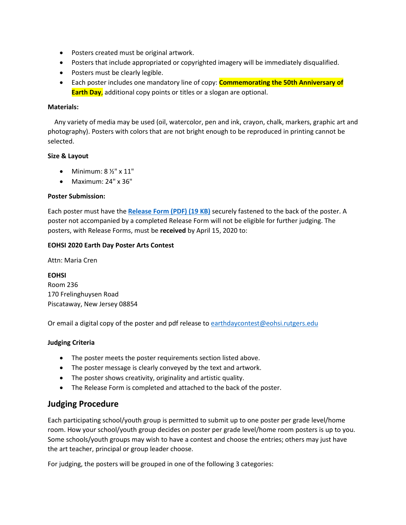- Posters created must be original artwork.
- Posters that include appropriated or copyrighted imagery will be immediately disqualified.
- Posters must be clearly legible.
- Each poster includes one mandatory line of copy: **Commemorating the 50th Anniversary of Earth Day**, additional copy points or titles or a slogan are optional.

#### **Materials:**

 Any variety of media may be used (oil, watercolor, pen and ink, crayon, chalk, markers, graphic art and photography). Posters with colors that are not bright enough to be reproduced in printing cannot be selected.

#### **Size & Layout**

- Minimum:  $8\frac{1}{2}$ " x  $11$ "
- Maximum: 24" x 36"

#### **Poster Submission:**

Each poster must have the **[Release Form \(PDF\) \(19 KB\)](http://eohsi.rutgers.edu/wp-content/uploads/Contest-release-form.pdf)** securely fastened to the back of the poster. A poster not accompanied by a completed Release Form will not be eligible for further judging. The posters, with Release Forms, must be **received** by April 15, 2020 to:

#### **EOHSI 2020 Earth Day Poster Arts Contest**

Attn: Maria Cren

**EOHSI** Room 236 170 Frelinghuysen Road Piscataway, New Jersey 08854

Or email a digital copy of the poster and pdf release to [earthdaycontest@eohsi.rutgers.edu](mailto:earthdaycontest@eohsi.rutgers.edu)

#### **Judging Criteria**

- The poster meets the poster requirements section listed above.
- The poster message is clearly conveyed by the text and artwork.
- The poster shows creativity, originality and artistic quality.
- The Release Form is completed and attached to the back of the poster.

# **Judging Procedure**

Each participating school/youth group is permitted to submit up to one poster per grade level/home room. How your school/youth group decides on poster per grade level/home room posters is up to you. Some schools/youth groups may wish to have a contest and choose the entries; others may just have the art teacher, principal or group leader choose.

For judging, the posters will be grouped in one of the following 3 categories: